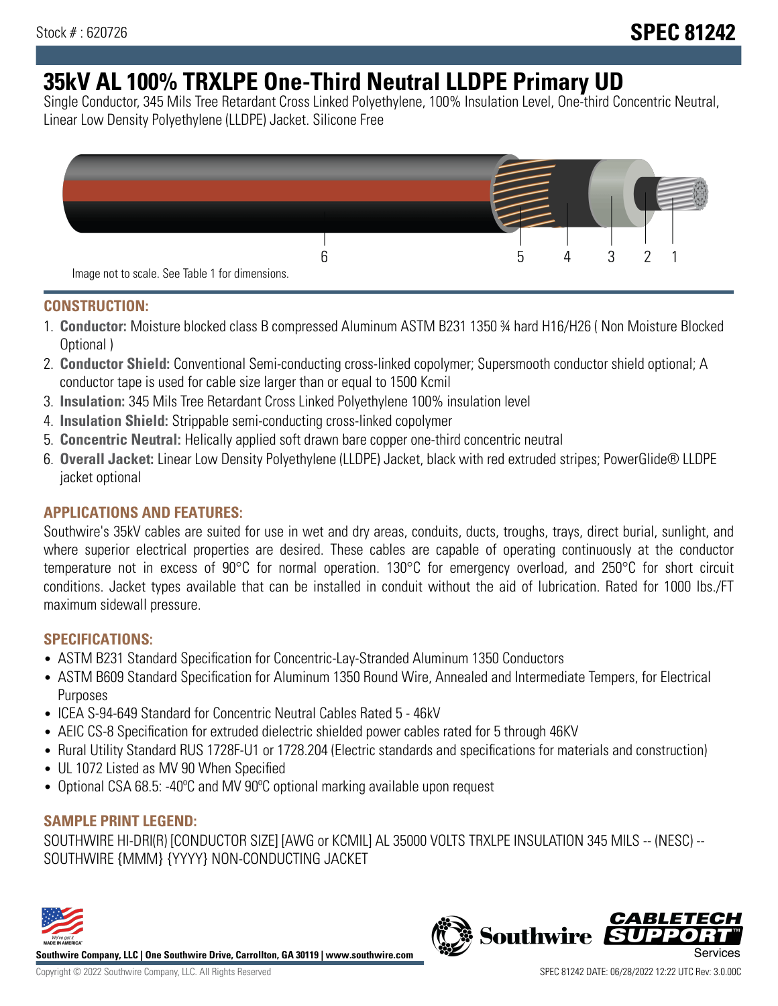# **35kV AL 100% TRXLPE One-Third Neutral LLDPE Primary UD**

Single Conductor, 345 Mils Tree Retardant Cross Linked Polyethylene, 100% Insulation Level, One-third Concentric Neutral, Linear Low Density Polyethylene (LLDPE) Jacket. Silicone Free



### **CONSTRUCTION:**

- 1. **Conductor:** Moisture blocked class B compressed Aluminum ASTM B231 1350 ¾ hard H16/H26 ( Non Moisture Blocked Optional )
- 2. **Conductor Shield:** Conventional Semi-conducting cross-linked copolymer; Supersmooth conductor shield optional; A conductor tape is used for cable size larger than or equal to 1500 Kcmil
- 3. **Insulation:** 345 Mils Tree Retardant Cross Linked Polyethylene 100% insulation level
- 4. **Insulation Shield:** Strippable semi-conducting cross-linked copolymer
- 5. **Concentric Neutral:** Helically applied soft drawn bare copper one-third concentric neutral
- 6. **Overall Jacket:** Linear Low Density Polyethylene (LLDPE) Jacket, black with red extruded stripes; PowerGlide® LLDPE jacket optional

## **APPLICATIONS AND FEATURES:**

Southwire's 35kV cables are suited for use in wet and dry areas, conduits, ducts, troughs, trays, direct burial, sunlight, and where superior electrical properties are desired. These cables are capable of operating continuously at the conductor temperature not in excess of 90°C for normal operation. 130°C for emergency overload, and 250°C for short circuit conditions. Jacket types available that can be installed in conduit without the aid of lubrication. Rated for 1000 lbs./FT maximum sidewall pressure.

## **SPECIFICATIONS:**

- ASTM B231 Standard Specification for Concentric-Lay-Stranded Aluminum 1350 Conductors
- ASTM B609 Standard Specification for Aluminum 1350 Round Wire, Annealed and Intermediate Tempers, for Electrical Purposes
- ICEA S-94-649 Standard for Concentric Neutral Cables Rated 5 46kV
- AEIC CS-8 Specification for extruded dielectric shielded power cables rated for 5 through 46KV
- Rural Utility Standard RUS 1728F-U1 or 1728.204 (Electric standards and specifications for materials and construction)
- UL 1072 Listed as MV 90 When Specified
- Optional CSA 68.5: -40ºC and MV 90ºC optional marking available upon request

## **SAMPLE PRINT LEGEND:**

SOUTHWIRE HI-DRI(R) [CONDUCTOR SIZE] [AWG or KCMIL] AL 35000 VOLTS TRXLPE INSULATION 345 MILS -- (NESC) -- SOUTHWIRE {MMM} {YYYY} NON-CONDUCTING JACKET



**Southwire Company, LLC | One Southwire Drive, Carrollton, GA 30119 | www.southwire.com**

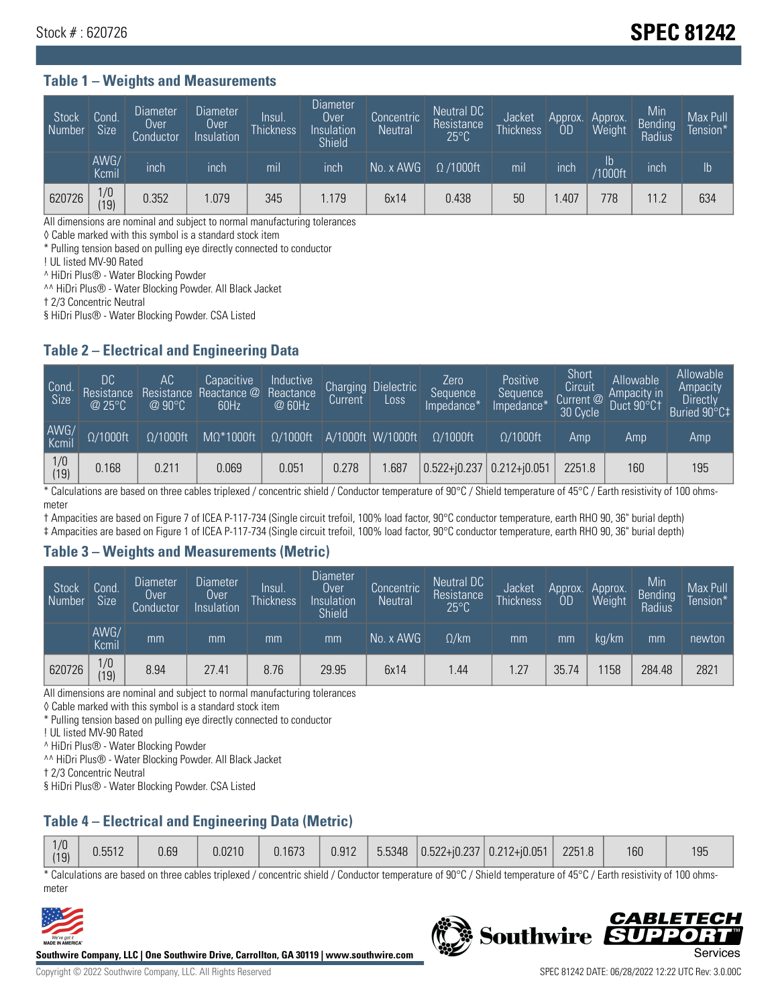## Stock # : 620726 **SPEC 81242**

#### **Table 1 – Weights and Measurements**

| Stock<br>Number | Cond<br>Size <sup>'</sup> | <b>Diameter</b><br>Over<br>Conductor | <b>Diameter</b><br>Over<br>Insulation | Insul.<br><b>Thickness</b> | Diameter<br>Over<br>Insulation<br><b>Shield</b> | Concentric<br><b>Neutral</b> | Neutral DC<br>Resistance<br>$25^{\circ}$ C | Jacket<br><b>Thickness</b> | Approx.<br>OD | Approx.<br>Weight | Min<br><b>Bending</b><br>Radius | Max Pull<br>Tension* |
|-----------------|---------------------------|--------------------------------------|---------------------------------------|----------------------------|-------------------------------------------------|------------------------------|--------------------------------------------|----------------------------|---------------|-------------------|---------------------------------|----------------------|
|                 | AWG/<br>Kcmil             | inch                                 | inch                                  | mil                        | inch                                            | No. x AWG                    | $\Omega$ /1000ft                           | mil                        | inch          | Ib<br>/1000ft     | inch                            | $\mathsf{lb}$        |
| 620726          | 1/0<br> 19                | 0.352                                | 1.079                                 | 345                        | 1.179                                           | 6x14                         | 0.438                                      | 50                         | .407          | 778               | 11.2                            | 634                  |

All dimensions are nominal and subject to normal manufacturing tolerances

◊ Cable marked with this symbol is a standard stock item

\* Pulling tension based on pulling eye directly connected to conductor

! UL listed MV-90 Rated

^ HiDri Plus® - Water Blocking Powder

^^ HiDri Plus® - Water Blocking Powder. All Black Jacket

† 2/3 Concentric Neutral

§ HiDri Plus® - Water Blocking Powder. CSA Listed

#### **Table 2 – Electrical and Engineering Data**

| Cond.<br>Size         | 'DC.<br>Resistance<br>@25°C | АC<br>Resistance<br>$\varpi$ 90°C | Capacitive<br>Reactance @<br>60Hz | Inductive<br>Reactance<br>@ 60Hz | <b>Charging</b><br>Current | <b>Dielectric</b><br>Loss | Zero<br>Sequence<br>Impedance* | <b>Positive</b><br>Sequence<br>Impedance <sup>®</sup> | Short<br>Circuit<br>Current <sup>@</sup><br>30 Cycle | Allowable<br>Ampacity in<br>Duct 90°C1 | Allowable<br>Ampacity<br>Directly<br>Buried 90°C‡ |
|-----------------------|-----------------------------|-----------------------------------|-----------------------------------|----------------------------------|----------------------------|---------------------------|--------------------------------|-------------------------------------------------------|------------------------------------------------------|----------------------------------------|---------------------------------------------------|
| AWG/<br>Kcmil         | $\Omega/1000$ ft            | $\Omega/1000$ ft                  | $M\Omega^*1000$ ft                | $\Omega/1000$ ft                 |                            | A/1000ft W/1000ft         | $\Omega/1000$ ft               | $\Omega$ /1000ft                                      | Amp                                                  | Amp                                    | Amp                                               |
| $\frac{1}{0}$<br>(19) | 0.168                       | 0.211                             | 0.069                             | 0.051                            | 0.278                      | .687                      | $0.522 + i0.237$ 0.212+i0.051  |                                                       | 2251.8                                               | 160                                    | 195                                               |

\* Calculations are based on three cables triplexed / concentric shield / Conductor temperature of 90°C / Shield temperature of 45°C / Earth resistivity of 100 ohmsmeter

† Ampacities are based on Figure 7 of ICEA P-117-734 (Single circuit trefoil, 100% load factor, 90°C conductor temperature, earth RHO 90, 36" burial depth)

‡ Ampacities are based on Figure 1 of ICEA P-117-734 (Single circuit trefoil, 100% load factor, 90°C conductor temperature, earth RHO 90, 36" burial depth)

#### **Table 3 – Weights and Measurements (Metric)**

| Stock<br>Number | Cond.<br>Size <sup>1</sup> | <b>Diameter</b><br><b>Over</b><br>Conductor | <b>Diameter</b><br><b>Over</b><br>Insulation | Insul.<br><b>Thickness</b> | <b>Diameter</b><br>Over<br>Insulation<br><b>Shield</b> | Concentric<br><b>Neutral</b> | Neutral DC<br>Resistance<br>$25^{\circ}$ C | Jacket<br><b>Thickness</b> | Approx.<br>OD | Approx.<br>Weight | Min<br>Bending<br>Radius | Max Pull<br>Tension* |
|-----------------|----------------------------|---------------------------------------------|----------------------------------------------|----------------------------|--------------------------------------------------------|------------------------------|--------------------------------------------|----------------------------|---------------|-------------------|--------------------------|----------------------|
|                 | AWG/<br>Kcmil              | mm                                          | mm                                           | mm                         | mm                                                     | No. x AWG                    | $\Omega$ /km                               | mm                         | mm            | ka/km             | mm                       | newton               |
| 620726          | 1/0<br>(19)                | 8.94                                        | 27.41                                        | 8.76                       | 29.95                                                  | 6x14                         | l.44                                       | .27                        | 35.74         | 158               | 284.48                   | 2821                 |

All dimensions are nominal and subject to normal manufacturing tolerances

◊ Cable marked with this symbol is a standard stock item

\* Pulling tension based on pulling eye directly connected to conductor

! UL listed MV-90 Rated

^ HiDri Plus® - Water Blocking Powder

^^ HiDri Plus® - Water Blocking Powder. All Black Jacket

† 2/3 Concentric Neutral

§ HiDri Plus® - Water Blocking Powder. CSA Listed

## **Table 4 – Electrical and Engineering Data (Metric)**

| 1/0<br>(19) | 0.5512 | 0.69 | 0.0210 | 0.1673 | 0.912 | 5.5348 |  | $\left  0.522 + 0.237 \right  0.212 + 0.051$ | 2251.8 | 160 | 195 |
|-------------|--------|------|--------|--------|-------|--------|--|----------------------------------------------|--------|-----|-----|
|-------------|--------|------|--------|--------|-------|--------|--|----------------------------------------------|--------|-----|-----|

\* Calculations are based on three cables triplexed / concentric shield / Conductor temperature of 90°C / Shield temperature of 45°C / Earth resistivity of 100 ohmsmeter



**Southwire Company, LLC | One Southwire Drive, Carrollton, GA 30119 | www.southwire.com**